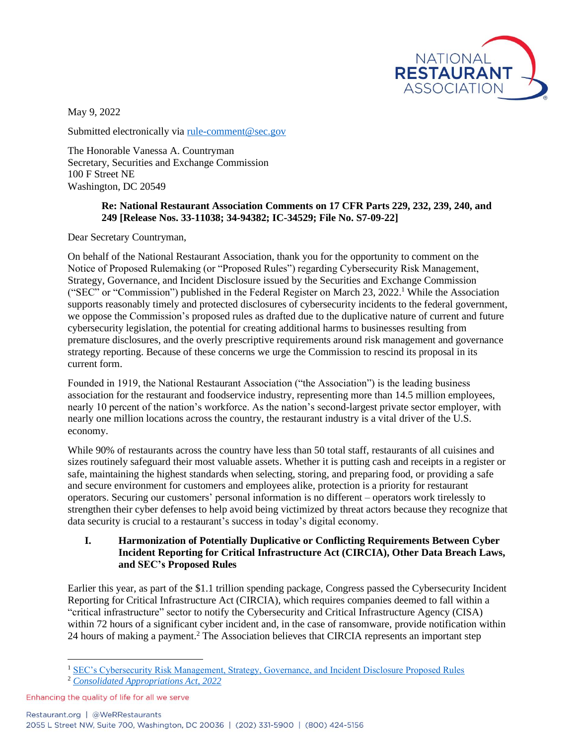

May 9, 2022

Submitted electronically via [rule-comment@sec.gov](mailto:rule-comment@sec.gov)

The Honorable Vanessa A. Countryman Secretary, Securities and Exchange Commission 100 F Street NE Washington, DC 20549

#### **Re: National Restaurant Association Comments on 17 CFR Parts 229, 232, 239, 240, and 249 [Release Nos. 33-11038; 34-94382; IC-34529; File No. S7-09-22]**

Dear Secretary Countryman,

On behalf of the National Restaurant Association, thank you for the opportunity to comment on the Notice of Proposed Rulemaking (or "Proposed Rules") regarding Cybersecurity Risk Management, Strategy, Governance, and Incident Disclosure issued by the Securities and Exchange Commission ("SEC" or "Commission") published in the Federal Register on March 23, 2022.<sup>1</sup> While the Association supports reasonably timely and protected disclosures of cybersecurity incidents to the federal government, we oppose the Commission's proposed rules as drafted due to the duplicative nature of current and future cybersecurity legislation, the potential for creating additional harms to businesses resulting from premature disclosures, and the overly prescriptive requirements around risk management and governance strategy reporting. Because of these concerns we urge the Commission to rescind its proposal in its current form.

Founded in 1919, the National Restaurant Association ("the Association") is the leading business association for the restaurant and foodservice industry, representing more than 14.5 million employees, nearly 10 percent of the nation's workforce. As the nation's second-largest private sector employer, with nearly one million locations across the country, the restaurant industry is a vital driver of the U.S. economy.

While 90% of restaurants across the country have less than 50 total staff, restaurants of all cuisines and sizes routinely safeguard their most valuable assets. Whether it is putting cash and receipts in a register or safe, maintaining the highest standards when selecting, storing, and preparing food, or providing a safe and secure environment for customers and employees alike, protection is a priority for restaurant operators. Securing our customers' personal information is no different – operators work tirelessly to strengthen their cyber defenses to help avoid being victimized by threat actors because they recognize that data security is crucial to a restaurant's success in today's digital economy.

### **I. Harmonization of Potentially Duplicative or Conflicting Requirements Between Cyber Incident Reporting for Critical Infrastructure Act (CIRCIA), Other Data Breach Laws, and SEC's Proposed Rules**

Earlier this year, as part of the \$1.1 trillion spending package, Congress passed the Cybersecurity Incident Reporting for Critical Infrastructure Act (CIRCIA), which requires companies deemed to fall within a "critical infrastructure" sector to notify the Cybersecurity and Critical Infrastructure Agency (CISA) within 72 hours of a significant cyber incident and, in the case of ransomware, provide notification within 24 hours of making a payment.<sup>2</sup> The Association believes that CIRCIA represents an important step

<sup>1</sup> [SEC's Cybersecurity Risk Management, Strategy, Governance, and Incident Disclosure Proposed Rules](https://www.federalregister.gov/documents/2022/03/23/2022-05480/cybersecurity-risk-management-strategy-governance-and-incident-disclosure)

<sup>2</sup> *[Consolidated Appropriations Act, 2022](https://rules.house.gov/sites/democrats.rules.house.gov/files/BILLS-117HR2471SA-RCP-117-35.pdf)*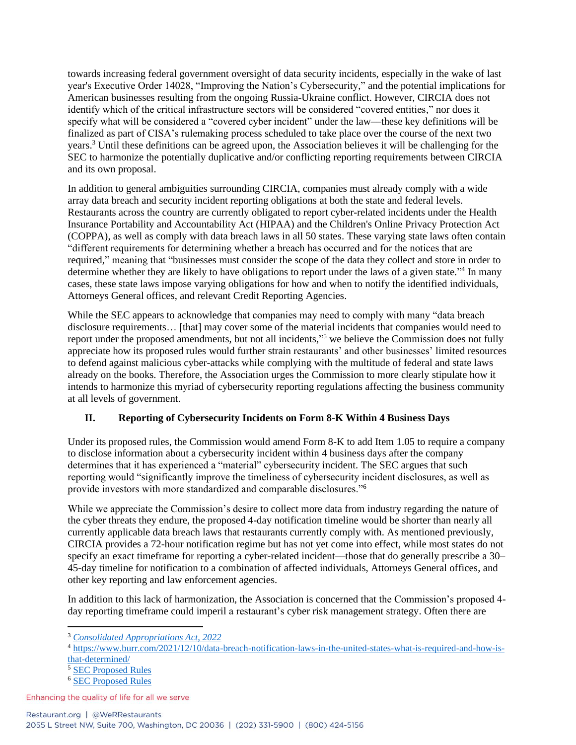towards increasing federal government oversight of data security incidents, especially in the wake of last year's Executive Order 14028, "Improving the Nation's Cybersecurity," and the potential implications for American businesses resulting from the ongoing Russia-Ukraine conflict. However, CIRCIA does not identify which of the critical infrastructure sectors will be considered "covered entities," nor does it specify what will be considered a "covered cyber incident" under the law––these key definitions will be finalized as part of CISA's rulemaking process scheduled to take place over the course of the next two years. <sup>3</sup> Until these definitions can be agreed upon, the Association believes it will be challenging for the SEC to harmonize the potentially duplicative and/or conflicting reporting requirements between CIRCIA and its own proposal.

In addition to general ambiguities surrounding CIRCIA, companies must already comply with a wide array data breach and security incident reporting obligations at both the state and federal levels. Restaurants across the country are currently obligated to report cyber-related incidents under the Health Insurance Portability and Accountability Act (HIPAA) and the Children's Online Privacy Protection Act (COPPA), as well as comply with data breach laws in all 50 states. These varying state laws often contain "different requirements for determining whether a breach has occurred and for the notices that are required," meaning that "businesses must consider the scope of the data they collect and store in order to determine whether they are likely to have obligations to report under the laws of a given state."<sup>4</sup> In many cases, these state laws impose varying obligations for how and when to notify the identified individuals, Attorneys General offices, and relevant Credit Reporting Agencies.

While the SEC appears to acknowledge that companies may need to comply with many "data breach" disclosure requirements... [that] may cover some of the material incidents that companies would need to report under the proposed amendments, but not all incidents,"<sup>5</sup> we believe the Commission does not fully appreciate how its proposed rules would further strain restaurants' and other businesses' limited resources to defend against malicious cyber-attacks while complying with the multitude of federal and state laws already on the books. Therefore, the Association urges the Commission to more clearly stipulate how it intends to harmonize this myriad of cybersecurity reporting regulations affecting the business community at all levels of government.

## **II. Reporting of Cybersecurity Incidents on Form 8-K Within 4 Business Days**

Under its proposed rules, the Commission would amend Form 8-K to add Item 1.05 to require a company to disclose information about a cybersecurity incident within 4 business days after the company determines that it has experienced a "material" cybersecurity incident. The SEC argues that such reporting would "significantly improve the timeliness of cybersecurity incident disclosures, as well as provide investors with more standardized and comparable disclosures."<sup>6</sup>

While we appreciate the Commission's desire to collect more data from industry regarding the nature of the cyber threats they endure, the proposed 4-day notification timeline would be shorter than nearly all currently applicable data breach laws that restaurants currently comply with. As mentioned previously, CIRCIA provides a 72-hour notification regime but has not yet come into effect, while most states do not specify an exact timeframe for reporting a cyber-related incident—those that do generally prescribe a 30– 45-day timeline for notification to a combination of affected individuals, Attorneys General offices, and other key reporting and law enforcement agencies.

In addition to this lack of harmonization, the Association is concerned that the Commission's proposed 4 day reporting timeframe could imperil a restaurant's cyber risk management strategy. Often there are

<sup>3</sup> *[Consolidated Appropriations Act, 2022](https://rules.house.gov/sites/democrats.rules.house.gov/files/BILLS-117HR2471SA-RCP-117-35.pdf)*

<sup>&</sup>lt;sup>4</sup> [https://www.burr.com/2021/12/10/data-breach-notification-laws-in-the-united-states-what-is-required-and-how-is](https://www.burr.com/2021/12/10/data-breach-notification-laws-in-the-united-states-what-is-required-and-how-is-that-determined/)[that-determined/](https://www.burr.com/2021/12/10/data-breach-notification-laws-in-the-united-states-what-is-required-and-how-is-that-determined/)

<sup>5</sup> [SEC Proposed Rules](https://www.federalregister.gov/documents/2022/03/23/2022-05480/cybersecurity-risk-management-strategy-governance-and-incident-disclosure)

<sup>6</sup> [SEC Proposed Rules](https://www.federalregister.gov/documents/2022/03/23/2022-05480/cybersecurity-risk-management-strategy-governance-and-incident-disclosure)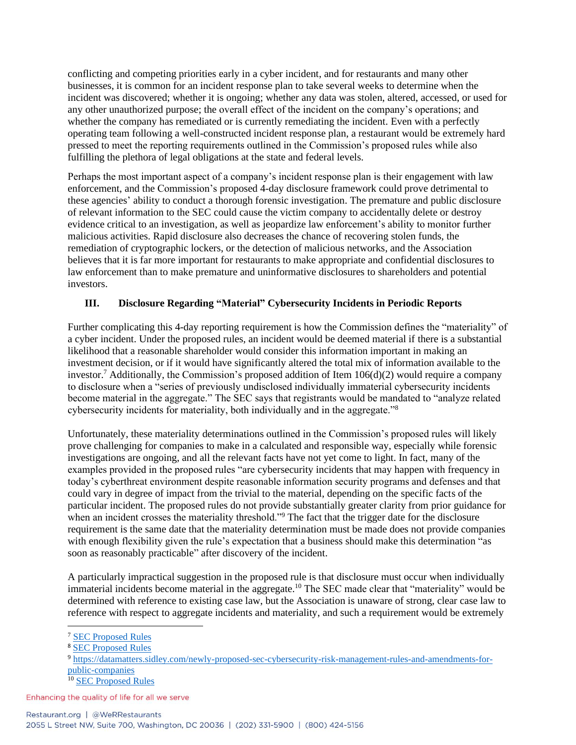conflicting and competing priorities early in a cyber incident, and for restaurants and many other businesses, it is common for an incident response plan to take several weeks to determine when the incident was discovered; whether it is ongoing; whether any data was stolen, altered, accessed, or used for any other unauthorized purpose; the overall effect of the incident on the company's operations; and whether the company has remediated or is currently remediating the incident. Even with a perfectly operating team following a well-constructed incident response plan, a restaurant would be extremely hard pressed to meet the reporting requirements outlined in the Commission's proposed rules while also fulfilling the plethora of legal obligations at the state and federal levels.

Perhaps the most important aspect of a company's incident response plan is their engagement with law enforcement, and the Commission's proposed 4-day disclosure framework could prove detrimental to these agencies' ability to conduct a thorough forensic investigation. The premature and public disclosure of relevant information to the SEC could cause the victim company to accidentally delete or destroy evidence critical to an investigation, as well as jeopardize law enforcement's ability to monitor further malicious activities. Rapid disclosure also decreases the chance of recovering stolen funds, the remediation of cryptographic lockers, or the detection of malicious networks, and the Association believes that it is far more important for restaurants to make appropriate and confidential disclosures to law enforcement than to make premature and uninformative disclosures to shareholders and potential investors.

# **III. Disclosure Regarding "Material" Cybersecurity Incidents in Periodic Reports**

Further complicating this 4-day reporting requirement is how the Commission defines the "materiality" of a cyber incident. Under the proposed rules, an incident would be deemed material if there is a substantial likelihood that a reasonable shareholder would consider this information important in making an investment decision, or if it would have significantly altered the total mix of information available to the investor. <sup>7</sup> Additionally, the Commission's proposed addition of Item 106(d)(2) would require a company to disclosure when a "series of previously undisclosed individually immaterial cybersecurity incidents become material in the aggregate." The SEC says that registrants would be mandated to "analyze related cybersecurity incidents for materiality, both individually and in the aggregate."<sup>8</sup>

Unfortunately, these materiality determinations outlined in the Commission's proposed rules will likely prove challenging for companies to make in a calculated and responsible way, especially while forensic investigations are ongoing, and all the relevant facts have not yet come to light. In fact, many of the examples provided in the proposed rules "are cybersecurity incidents that may happen with frequency in today's cyberthreat environment despite reasonable information security programs and defenses and that could vary in degree of impact from the trivial to the material, depending on the specific facts of the particular incident. The proposed rules do not provide substantially greater clarity from prior guidance for when an incident crosses the materiality threshold."<sup>9</sup> The fact that the trigger date for the disclosure requirement is the same date that the materiality determination must be made does not provide companies with enough flexibility given the rule's expectation that a business should make this determination "as soon as reasonably practicable" after discovery of the incident.

A particularly impractical suggestion in the proposed rule is that disclosure must occur when individually immaterial incidents become material in the aggregate.<sup>10</sup> The SEC made clear that "materiality" would be determined with reference to existing case law, but the Association is unaware of strong, clear case law to reference with respect to aggregate incidents and materiality, and such a requirement would be extremely

<sup>7</sup> [SEC Proposed Rules](https://www.federalregister.gov/documents/2022/03/23/2022-05480/cybersecurity-risk-management-strategy-governance-and-incident-disclosure)

<sup>8</sup> [SEC Proposed Rules](https://www.federalregister.gov/documents/2022/03/23/2022-05480/cybersecurity-risk-management-strategy-governance-and-incident-disclosure)

<sup>9</sup> [https://datamatters.sidley.com/newly-proposed-sec-cybersecurity-risk-management-rules-and-amendments-for](https://datamatters.sidley.com/newly-proposed-sec-cybersecurity-risk-management-rules-and-amendments-for-public-companies)[public-companies](https://datamatters.sidley.com/newly-proposed-sec-cybersecurity-risk-management-rules-and-amendments-for-public-companies)

<sup>&</sup>lt;sup>10</sup> [SEC Proposed Rules](https://www.federalregister.gov/documents/2022/03/23/2022-05480/cybersecurity-risk-management-strategy-governance-and-incident-disclosure)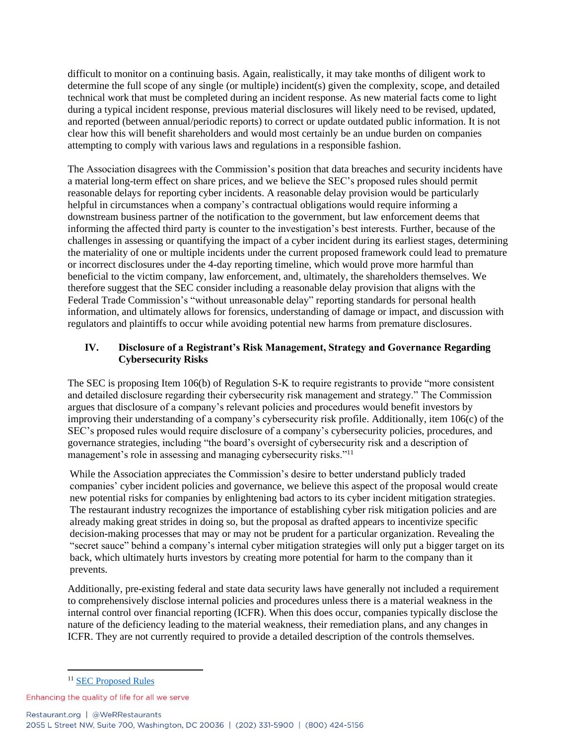difficult to monitor on a continuing basis. Again, realistically, it may take months of diligent work to determine the full scope of any single (or multiple) incident(s) given the complexity, scope, and detailed technical work that must be completed during an incident response. As new material facts come to light during a typical incident response, previous material disclosures will likely need to be revised, updated, and reported (between annual/periodic reports) to correct or update outdated public information. It is not clear how this will benefit shareholders and would most certainly be an undue burden on companies attempting to comply with various laws and regulations in a responsible fashion.

The Association disagrees with the Commission's position that data breaches and security incidents have a material long-term effect on share prices, and we believe the SEC's proposed rules should permit reasonable delays for reporting cyber incidents. A reasonable delay provision would be particularly helpful in circumstances when a company's contractual obligations would require informing a downstream business partner of the notification to the government, but law enforcement deems that informing the affected third party is counter to the investigation's best interests. Further, because of the challenges in assessing or quantifying the impact of a cyber incident during its earliest stages, determining the materiality of one or multiple incidents under the current proposed framework could lead to premature or incorrect disclosures under the 4-day reporting timeline, which would prove more harmful than beneficial to the victim company, law enforcement, and, ultimately, the shareholders themselves. We therefore suggest that the SEC consider including a reasonable delay provision that aligns with the Federal Trade Commission's "without unreasonable delay" reporting standards for personal health information, and ultimately allows for forensics, understanding of damage or impact, and discussion with regulators and plaintiffs to occur while avoiding potential new harms from premature disclosures.

### **IV. Disclosure of a Registrant's Risk Management, Strategy and Governance Regarding Cybersecurity Risks**

The SEC is proposing Item 106(b) of Regulation S-K to require registrants to provide "more consistent and detailed disclosure regarding their cybersecurity risk management and strategy." The Commission argues that disclosure of a company's relevant policies and procedures would benefit investors by improving their understanding of a company's cybersecurity risk profile. Additionally, item 106(c) of the SEC's proposed rules would require disclosure of a company's cybersecurity policies, procedures, and governance strategies, including "the board's oversight of cybersecurity risk and a description of management's role in assessing and managing cybersecurity risks."<sup>11</sup>

While the Association appreciates the Commission's desire to better understand publicly traded companies' cyber incident policies and governance, we believe this aspect of the proposal would create new potential risks for companies by enlightening bad actors to its cyber incident mitigation strategies. The restaurant industry recognizes the importance of establishing cyber risk mitigation policies and are already making great strides in doing so, but the proposal as drafted appears to incentivize specific decision-making processes that may or may not be prudent for a particular organization. Revealing the "secret sauce" behind a company's internal cyber mitigation strategies will only put a bigger target on its back, which ultimately hurts investors by creating more potential for harm to the company than it prevents.

Additionally, pre-existing federal and state data security laws have generally not included a requirement to comprehensively disclose internal policies and procedures unless there is a material weakness in the internal control over financial reporting (ICFR). When this does occur, companies typically disclose the nature of the deficiency leading to the material weakness, their remediation plans, and any changes in ICFR. They are not currently required to provide a detailed description of the controls themselves.

<sup>&</sup>lt;sup>11</sup> [SEC Proposed Rules](https://www.federalregister.gov/documents/2022/03/23/2022-05480/cybersecurity-risk-management-strategy-governance-and-incident-disclosure)